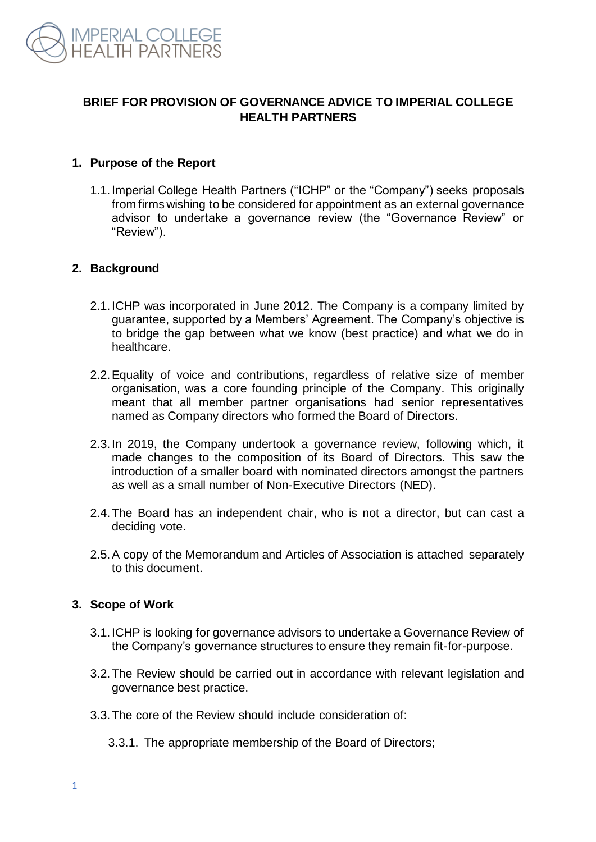

# **BRIEF FOR PROVISION OF GOVERNANCE ADVICE TO IMPERIAL COLLEGE HEALTH PARTNERS**

## **1. Purpose of the Report**

1.1.Imperial College Health Partners ("ICHP" or the "Company") seeks proposals from firms wishing to be considered for appointment as an external governance advisor to undertake a governance review (the "Governance Review" or "Review").

## **2. Background**

- 2.1.ICHP was incorporated in June 2012. The Company is a company limited by guarantee, supported by a Members' Agreement. The Company's objective is to bridge the gap between what we know (best practice) and what we do in healthcare.
- 2.2.Equality of voice and contributions, regardless of relative size of member organisation, was a core founding principle of the Company. This originally meant that all member partner organisations had senior representatives named as Company directors who formed the Board of Directors.
- 2.3.In 2019, the Company undertook a governance review, following which, it made changes to the composition of its Board of Directors. This saw the introduction of a smaller board with nominated directors amongst the partners as well as a small number of Non-Executive Directors (NED).
- 2.4.The Board has an independent chair, who is not a director, but can cast a deciding vote.
- 2.5.A copy of the Memorandum and Articles of Association is attached separately to this document.

#### **3. Scope of Work**

- 3.1.ICHP is looking for governance advisors to undertake a Governance Review of the Company's governance structures to ensure they remain fit-for-purpose.
- 3.2.The Review should be carried out in accordance with relevant legislation and governance best practice.
- 3.3.The core of the Review should include consideration of:
	- 3.3.1. The appropriate membership of the Board of Directors;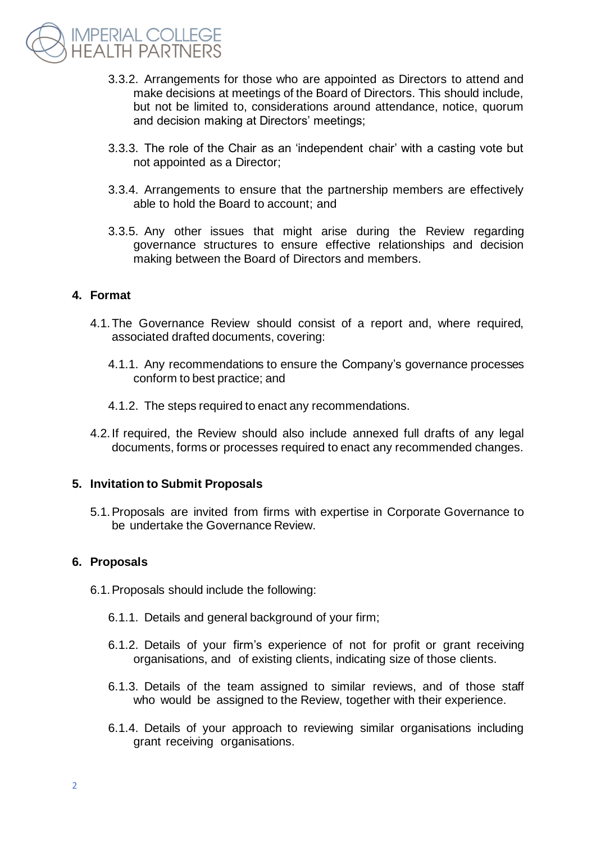

- 3.3.2. Arrangements for those who are appointed as Directors to attend and make decisions at meetings of the Board of Directors. This should include, but not be limited to, considerations around attendance, notice, quorum and decision making at Directors' meetings;
- 3.3.3. The role of the Chair as an 'independent chair' with a casting vote but not appointed as a Director;
- 3.3.4. Arrangements to ensure that the partnership members are effectively able to hold the Board to account; and
- 3.3.5. Any other issues that might arise during the Review regarding governance structures to ensure effective relationships and decision making between the Board of Directors and members.

#### **4. Format**

- 4.1.The Governance Review should consist of a report and, where required, associated drafted documents, covering:
	- 4.1.1. Any recommendations to ensure the Company's governance processes conform to best practice; and
	- 4.1.2. The steps required to enact any recommendations.
- 4.2.If required, the Review should also include annexed full drafts of any legal documents, forms or processes required to enact any recommended changes.

#### **5. Invitation to Submit Proposals**

5.1.Proposals are invited from firms with expertise in Corporate Governance to be undertake the Governance Review.

#### **6. Proposals**

- 6.1.Proposals should include the following:
	- 6.1.1. Details and general background of your firm;
	- 6.1.2. Details of your firm's experience of not for profit or grant receiving organisations, and of existing clients, indicating size of those clients.
	- 6.1.3. Details of the team assigned to similar reviews, and of those staff who would be assigned to the Review, together with their experience.
	- 6.1.4. Details of your approach to reviewing similar organisations including grant receiving organisations.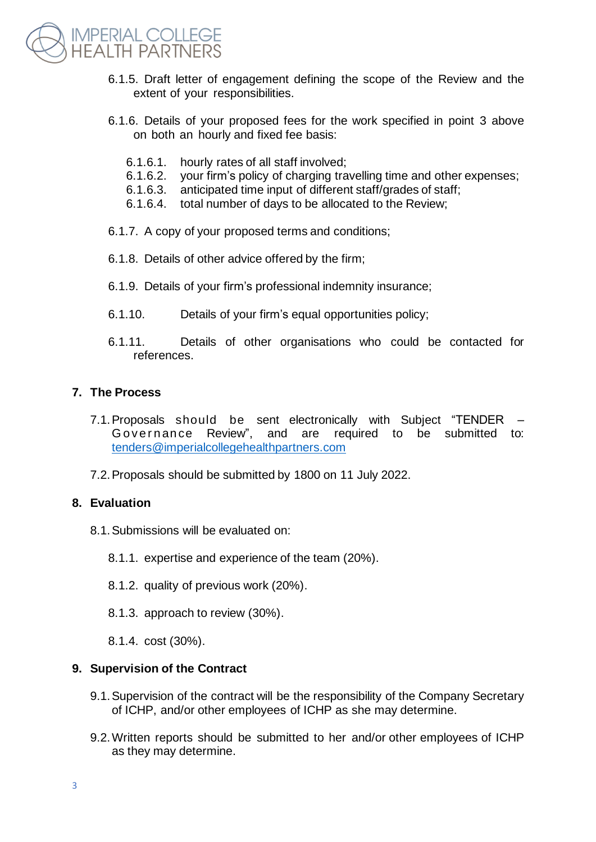

- 6.1.5. Draft letter of engagement defining the scope of the Review and the extent of your responsibilities.
- 6.1.6. Details of your proposed fees for the work specified in point 3 above on both an hourly and fixed fee basis:
	- 6.1.6.1. hourly rates of all staff involved;
	- 6.1.6.2. your firm's policy of charging travelling time and other expenses;
	- 6.1.6.3. anticipated time input of different staff/grades of staff;
	- 6.1.6.4. total number of days to be allocated to the Review;
- 6.1.7. A copy of your proposed terms and conditions;
- 6.1.8. Details of other advice offered by the firm;
- 6.1.9. Details of your firm's professional indemnity insurance;
- 6.1.10. Details of your firm's equal opportunities policy;
- 6.1.11. Details of other organisations who could be contacted for references.

## **7. The Process**

- 7.1.Proposals should be sent electronically with Subject "TENDER Governance Review", and are required to be submitted to: [tenders@imperialcollegehealthpartners.com](mailto:tenders@imperialcollegehealthpartners.com)
- 7.2.Proposals should be submitted by 1800 on 11 July 2022.

## **8. Evaluation**

- 8.1.Submissions will be evaluated on:
	- 8.1.1. expertise and experience of the team (20%).
	- 8.1.2. quality of previous work (20%).
	- 8.1.3. approach to review (30%).
	- 8.1.4. cost (30%).

#### **9. Supervision of the Contract**

- 9.1.Supervision of the contract will be the responsibility of the Company Secretary of ICHP, and/or other employees of ICHP as she may determine.
- 9.2.Written reports should be submitted to her and/or other employees of ICHP as they may determine.